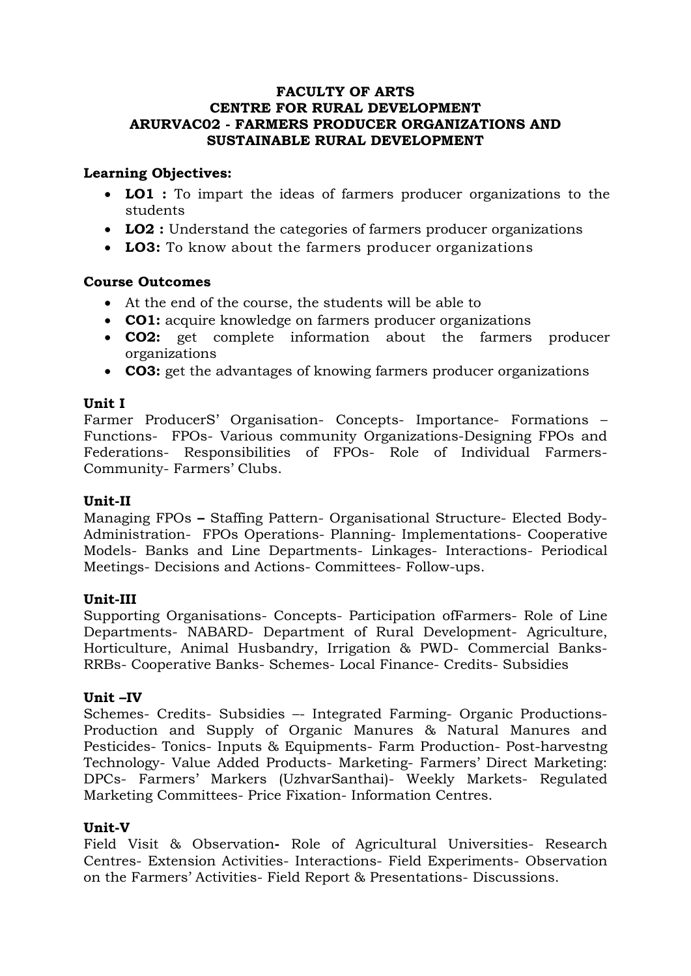#### **FACULTY OF ARTS CENTRE FOR RURAL DEVELOPMENT ARURVAC02 - FARMERS PRODUCER ORGANIZATIONS AND SUSTAINABLE RURAL DEVELOPMENT**

### **Learning Objectives:**

- **LO1 :** To impart the ideas of farmers producer organizations to the students
- **LO2 :** Understand the categories of farmers producer organizations
- **LO3:** To know about the farmers producer organizations

## **Course Outcomes**

- At the end of the course, the students will be able to
- **CO1:** acquire knowledge on farmers producer organizations
- **CO2:** get complete information about the farmers producer organizations
- **CO3:** get the advantages of knowing farmers producer organizations

#### **Unit I**

Farmer ProducerS' Organisation- Concepts- Importance- Formations – Functions- FPOs- Various community Organizations-Designing FPOs and Federations- Responsibilities of FPOs- Role of Individual Farmers-Community- Farmers' Clubs.

#### **Unit-II**

Managing FPOs **–** Staffing Pattern- Organisational Structure- Elected Body-Administration- FPOs Operations- Planning- Implementations- Cooperative Models- Banks and Line Departments- Linkages- Interactions- Periodical Meetings- Decisions and Actions- Committees- Follow-ups.

#### **Unit-III**

Supporting Organisations- Concepts- Participation ofFarmers- Role of Line Departments- NABARD- Department of Rural Development- Agriculture, Horticulture, Animal Husbandry, Irrigation & PWD- Commercial Banks-RRBs- Cooperative Banks- Schemes- Local Finance- Credits- Subsidies

#### **Unit –IV**

Schemes- Credits- Subsidies –- Integrated Farming- Organic Productions-Production and Supply of Organic Manures & Natural Manures and Pesticides- Tonics- Inputs & Equipments- Farm Production- Post-harvestng Technology- Value Added Products- Marketing- Farmers' Direct Marketing: DPCs- Farmers' Markers (UzhvarSanthai)- Weekly Markets- Regulated Marketing Committees- Price Fixation- Information Centres.

#### **Unit-V**

Field Visit & Observation**-** Role of Agricultural Universities- Research Centres- Extension Activities- Interactions- Field Experiments- Observation on the Farmers' Activities- Field Report & Presentations- Discussions.